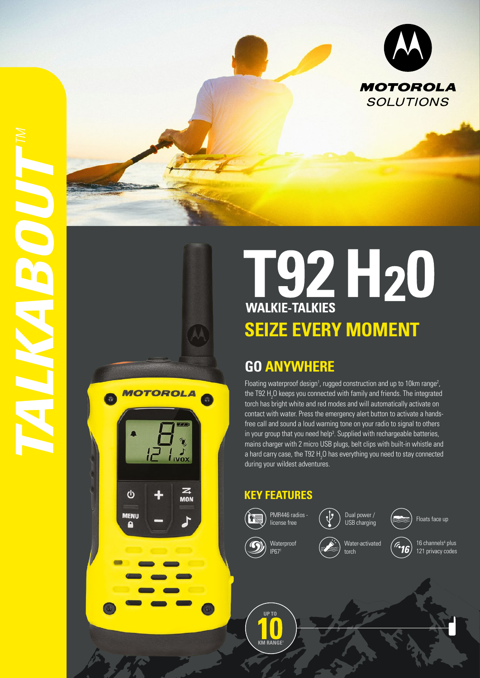

# **SEIZE EVERY MOMENT**

# **GO ANYWHERE**

Floating waterproof design<sup>1</sup>, rugged construction and up to 10km range<sup>2</sup>, the T92  $H_2O$  keeps you connected with family and friends. The integrated torch has bright white and red modes and will automatically activate on contact with water. Press the emergency alert button to activate a handsfree call and sound a loud warning tone on your radio to signal to others in your group that you need help<sup>3</sup>. Supplied with rechargeable batteries, mains charger with 2 micro USB plugs, belt clips with built-in whistle and a hard carry case, the T92  $\text{H}_{2}\text{O}$  has everything you need to stay connected during your wildest adventures.

## **KEY FEATURES**



**MOTOROLA** 

 $\mathbf{\Theta}$ 

**MENU** A

*i* ivox

 $\mathbf{z}$ 

**MON** 

**CONTRACTOR** 

license free  $(\sqrt{\frac{1}{2}})$  USB charging ( $\approx$ ) Floats face up



IP671

Waterproof

Water-activated torch

 $\widehat{G}$ 16